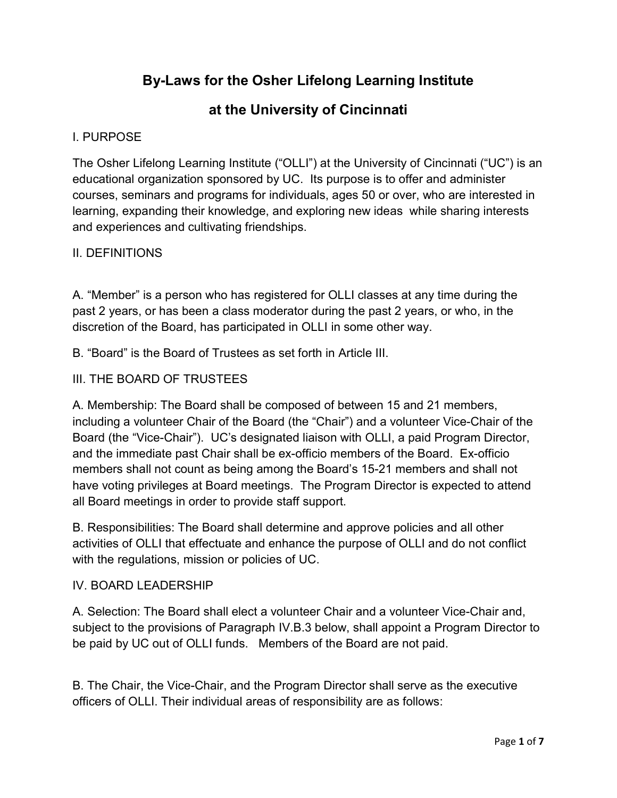# By-Laws for the Osher Lifelong Learning Institute

# at the University of Cincinnati

## I. PURPOSE

The Osher Lifelong Learning Institute ("OLLI") at the University of Cincinnati ("UC") is an educational organization sponsored by UC. Its purpose is to offer and administer courses, seminars and programs for individuals, ages 50 or over, who are interested in learning, expanding their knowledge, and exploring new ideas while sharing interests and experiences and cultivating friendships.

## II. DEFINITIONS

A. "Member" is a person who has registered for OLLI classes at any time during the past 2 years, or has been a class moderator during the past 2 years, or who, in the discretion of the Board, has participated in OLLI in some other way.

B. "Board" is the Board of Trustees as set forth in Article III.

#### III. THE BOARD OF TRUSTEES

A. Membership: The Board shall be composed of between 15 and 21 members, including a volunteer Chair of the Board (the "Chair") and a volunteer Vice-Chair of the Board (the "Vice-Chair"). UC's designated liaison with OLLI, a paid Program Director, and the immediate past Chair shall be ex-officio members of the Board. Ex-officio members shall not count as being among the Board's 15-21 members and shall not have voting privileges at Board meetings. The Program Director is expected to attend all Board meetings in order to provide staff support.

B. Responsibilities: The Board shall determine and approve policies and all other activities of OLLI that effectuate and enhance the purpose of OLLI and do not conflict with the regulations, mission or policies of UC.

#### IV. BOARD LEADERSHIP

A. Selection: The Board shall elect a volunteer Chair and a volunteer Vice-Chair and, subject to the provisions of Paragraph IV.B.3 below, shall appoint a Program Director to be paid by UC out of OLLI funds. Members of the Board are not paid.

B. The Chair, the Vice-Chair, and the Program Director shall serve as the executive officers of OLLI. Their individual areas of responsibility are as follows: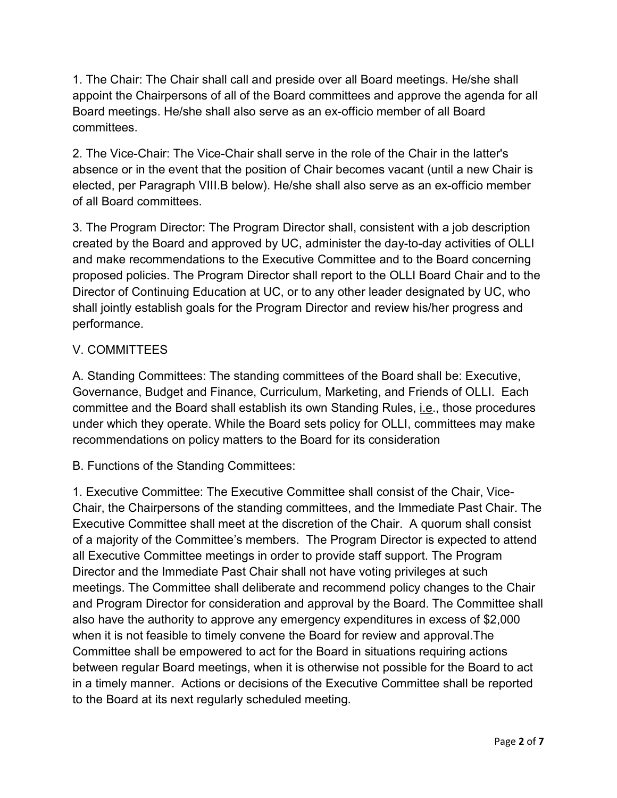1. The Chair: The Chair shall call and preside over all Board meetings. He/she shall appoint the Chairpersons of all of the Board committees and approve the agenda for all Board meetings. He/she shall also serve as an ex-officio member of all Board committees.

2. The Vice-Chair: The Vice-Chair shall serve in the role of the Chair in the latter's absence or in the event that the position of Chair becomes vacant (until a new Chair is elected, per Paragraph VIII.B below). He/she shall also serve as an ex-officio member of all Board committees.

3. The Program Director: The Program Director shall, consistent with a job description created by the Board and approved by UC, administer the day-to-day activities of OLLI and make recommendations to the Executive Committee and to the Board concerning proposed policies. The Program Director shall report to the OLLI Board Chair and to the Director of Continuing Education at UC, or to any other leader designated by UC, who shall jointly establish goals for the Program Director and review his/her progress and performance.

## V. COMMITTEES

A. Standing Committees: The standing committees of the Board shall be: Executive, Governance, Budget and Finance, Curriculum, Marketing, and Friends of OLLI. Each committee and the Board shall establish its own Standing Rules, *i.e.*, those procedures under which they operate. While the Board sets policy for OLLI, committees may make recommendations on policy matters to the Board for its consideration

B. Functions of the Standing Committees:

1. Executive Committee: The Executive Committee shall consist of the Chair, Vice-Chair, the Chairpersons of the standing committees, and the Immediate Past Chair. The Executive Committee shall meet at the discretion of the Chair. A quorum shall consist of a majority of the Committee's members. The Program Director is expected to attend all Executive Committee meetings in order to provide staff support. The Program Director and the Immediate Past Chair shall not have voting privileges at such meetings. The Committee shall deliberate and recommend policy changes to the Chair and Program Director for consideration and approval by the Board. The Committee shall also have the authority to approve any emergency expenditures in excess of \$2,000 when it is not feasible to timely convene the Board for review and approval.The Committee shall be empowered to act for the Board in situations requiring actions between regular Board meetings, when it is otherwise not possible for the Board to act in a timely manner. Actions or decisions of the Executive Committee shall be reported to the Board at its next regularly scheduled meeting.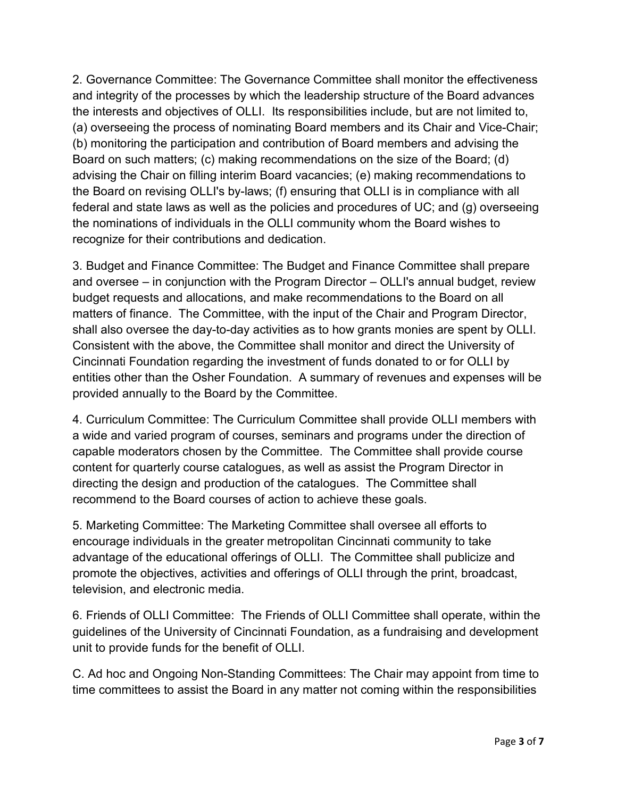2. Governance Committee: The Governance Committee shall monitor the effectiveness and integrity of the processes by which the leadership structure of the Board advances the interests and objectives of OLLI. Its responsibilities include, but are not limited to, (a) overseeing the process of nominating Board members and its Chair and Vice-Chair; (b) monitoring the participation and contribution of Board members and advising the Board on such matters; (c) making recommendations on the size of the Board; (d) advising the Chair on filling interim Board vacancies; (e) making recommendations to the Board on revising OLLI's by-laws; (f) ensuring that OLLI is in compliance with all federal and state laws as well as the policies and procedures of UC; and (g) overseeing the nominations of individuals in the OLLI community whom the Board wishes to recognize for their contributions and dedication.

3. Budget and Finance Committee: The Budget and Finance Committee shall prepare and oversee – in conjunction with the Program Director – OLLI's annual budget, review budget requests and allocations, and make recommendations to the Board on all matters of finance. The Committee, with the input of the Chair and Program Director, shall also oversee the day-to-day activities as to how grants monies are spent by OLLI. Consistent with the above, the Committee shall monitor and direct the University of Cincinnati Foundation regarding the investment of funds donated to or for OLLI by entities other than the Osher Foundation. A summary of revenues and expenses will be provided annually to the Board by the Committee.

4. Curriculum Committee: The Curriculum Committee shall provide OLLI members with a wide and varied program of courses, seminars and programs under the direction of capable moderators chosen by the Committee. The Committee shall provide course content for quarterly course catalogues, as well as assist the Program Director in directing the design and production of the catalogues. The Committee shall recommend to the Board courses of action to achieve these goals.

5. Marketing Committee: The Marketing Committee shall oversee all efforts to encourage individuals in the greater metropolitan Cincinnati community to take advantage of the educational offerings of OLLI. The Committee shall publicize and promote the objectives, activities and offerings of OLLI through the print, broadcast, television, and electronic media.

6. Friends of OLLI Committee: The Friends of OLLI Committee shall operate, within the guidelines of the University of Cincinnati Foundation, as a fundraising and development unit to provide funds for the benefit of OLLI.

C. Ad hoc and Ongoing Non-Standing Committees: The Chair may appoint from time to time committees to assist the Board in any matter not coming within the responsibilities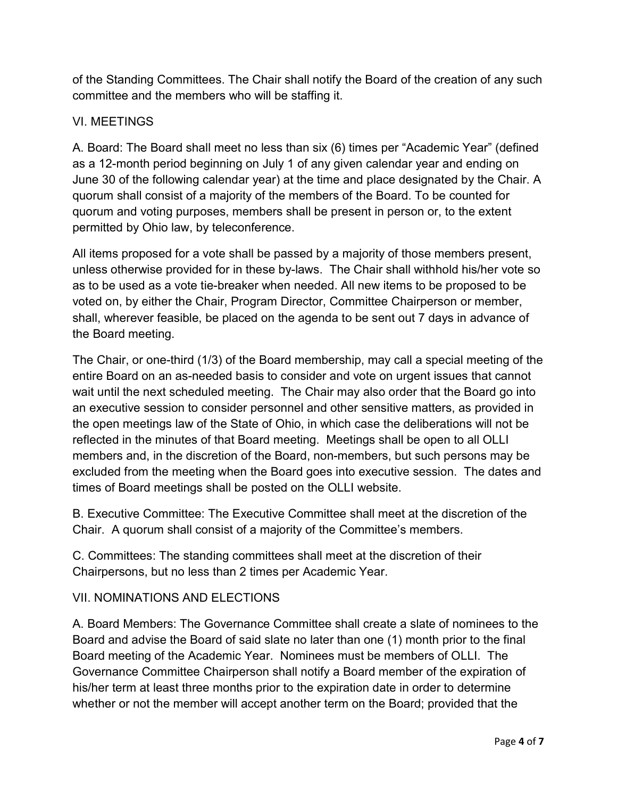of the Standing Committees. The Chair shall notify the Board of the creation of any such committee and the members who will be staffing it.

## VI. MEETINGS

A. Board: The Board shall meet no less than six (6) times per "Academic Year" (defined as a 12-month period beginning on July 1 of any given calendar year and ending on June 30 of the following calendar year) at the time and place designated by the Chair. A quorum shall consist of a majority of the members of the Board. To be counted for quorum and voting purposes, members shall be present in person or, to the extent permitted by Ohio law, by teleconference.

All items proposed for a vote shall be passed by a majority of those members present, unless otherwise provided for in these by-laws. The Chair shall withhold his/her vote so as to be used as a vote tie-breaker when needed. All new items to be proposed to be voted on, by either the Chair, Program Director, Committee Chairperson or member, shall, wherever feasible, be placed on the agenda to be sent out 7 days in advance of the Board meeting.

The Chair, or one-third (1/3) of the Board membership, may call a special meeting of the entire Board on an as-needed basis to consider and vote on urgent issues that cannot wait until the next scheduled meeting. The Chair may also order that the Board go into an executive session to consider personnel and other sensitive matters, as provided in the open meetings law of the State of Ohio, in which case the deliberations will not be reflected in the minutes of that Board meeting. Meetings shall be open to all OLLI members and, in the discretion of the Board, non-members, but such persons may be excluded from the meeting when the Board goes into executive session. The dates and times of Board meetings shall be posted on the OLLI website.

B. Executive Committee: The Executive Committee shall meet at the discretion of the Chair. A quorum shall consist of a majority of the Committee's members.

C. Committees: The standing committees shall meet at the discretion of their Chairpersons, but no less than 2 times per Academic Year.

## VII. NOMINATIONS AND ELECTIONS

A. Board Members: The Governance Committee shall create a slate of nominees to the Board and advise the Board of said slate no later than one (1) month prior to the final Board meeting of the Academic Year. Nominees must be members of OLLI. The Governance Committee Chairperson shall notify a Board member of the expiration of his/her term at least three months prior to the expiration date in order to determine whether or not the member will accept another term on the Board; provided that the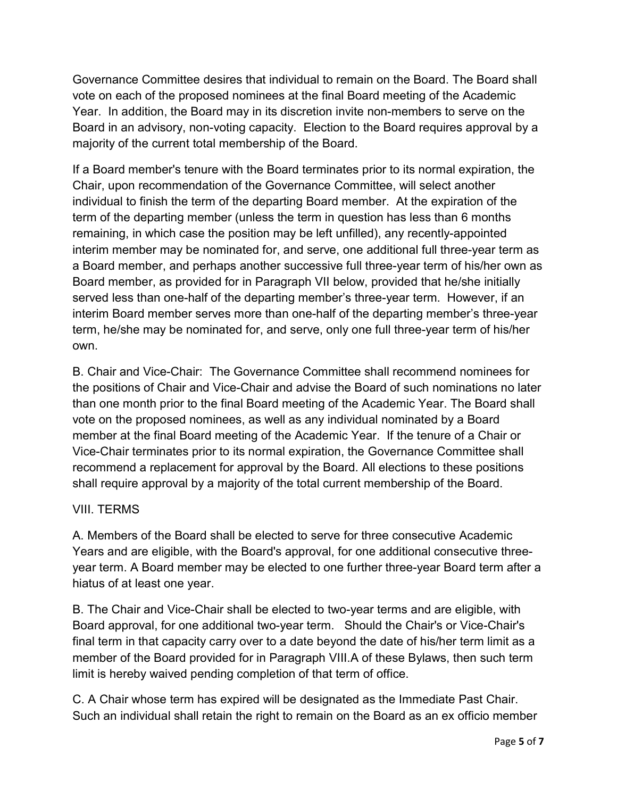Governance Committee desires that individual to remain on the Board. The Board shall vote on each of the proposed nominees at the final Board meeting of the Academic Year. In addition, the Board may in its discretion invite non-members to serve on the Board in an advisory, non-voting capacity. Election to the Board requires approval by a majority of the current total membership of the Board.

If a Board member's tenure with the Board terminates prior to its normal expiration, the Chair, upon recommendation of the Governance Committee, will select another individual to finish the term of the departing Board member. At the expiration of the term of the departing member (unless the term in question has less than 6 months remaining, in which case the position may be left unfilled), any recently-appointed interim member may be nominated for, and serve, one additional full three-year term as a Board member, and perhaps another successive full three-year term of his/her own as Board member, as provided for in Paragraph VII below, provided that he/she initially served less than one-half of the departing member's three-year term. However, if an interim Board member serves more than one-half of the departing member's three-year term, he/she may be nominated for, and serve, only one full three-year term of his/her own.

B. Chair and Vice-Chair: The Governance Committee shall recommend nominees for the positions of Chair and Vice-Chair and advise the Board of such nominations no later than one month prior to the final Board meeting of the Academic Year. The Board shall vote on the proposed nominees, as well as any individual nominated by a Board member at the final Board meeting of the Academic Year. If the tenure of a Chair or Vice-Chair terminates prior to its normal expiration, the Governance Committee shall recommend a replacement for approval by the Board. All elections to these positions shall require approval by a majority of the total current membership of the Board.

## VIII. TERMS

A. Members of the Board shall be elected to serve for three consecutive Academic Years and are eligible, with the Board's approval, for one additional consecutive threeyear term. A Board member may be elected to one further three-year Board term after a hiatus of at least one year.

B. The Chair and Vice-Chair shall be elected to two-year terms and are eligible, with Board approval, for one additional two-year term. Should the Chair's or Vice-Chair's final term in that capacity carry over to a date beyond the date of his/her term limit as a member of the Board provided for in Paragraph VIII.A of these Bylaws, then such term limit is hereby waived pending completion of that term of office.

C. A Chair whose term has expired will be designated as the Immediate Past Chair. Such an individual shall retain the right to remain on the Board as an ex officio member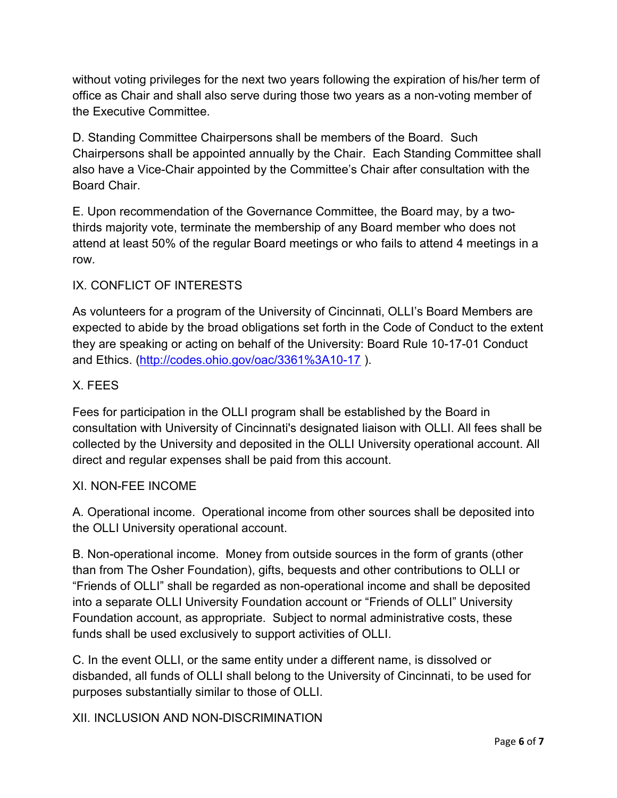without voting privileges for the next two years following the expiration of his/her term of office as Chair and shall also serve during those two years as a non-voting member of the Executive Committee.

D. Standing Committee Chairpersons shall be members of the Board. Such Chairpersons shall be appointed annually by the Chair. Each Standing Committee shall also have a Vice-Chair appointed by the Committee's Chair after consultation with the Board Chair.

E. Upon recommendation of the Governance Committee, the Board may, by a twothirds majority vote, terminate the membership of any Board member who does not attend at least 50% of the regular Board meetings or who fails to attend 4 meetings in a row.

## IX. CONFLICT OF INTERESTS

As volunteers for a program of the University of Cincinnati, OLLI's Board Members are expected to abide by the broad obligations set forth in the Code of Conduct to the extent they are speaking or acting on behalf of the University: Board Rule 10-17-01 Conduct and Ethics. (http://codes.ohio.gov/oac/3361%3A10-17 ).

## X. FEES

Fees for participation in the OLLI program shall be established by the Board in consultation with University of Cincinnati's designated liaison with OLLI. All fees shall be collected by the University and deposited in the OLLI University operational account. All direct and regular expenses shall be paid from this account.

#### XI. NON-FEE INCOME

A. Operational income. Operational income from other sources shall be deposited into the OLLI University operational account.

B. Non-operational income. Money from outside sources in the form of grants (other than from The Osher Foundation), gifts, bequests and other contributions to OLLI or "Friends of OLLI" shall be regarded as non-operational income and shall be deposited into a separate OLLI University Foundation account or "Friends of OLLI" University Foundation account, as appropriate. Subject to normal administrative costs, these funds shall be used exclusively to support activities of OLLI.

C. In the event OLLI, or the same entity under a different name, is dissolved or disbanded, all funds of OLLI shall belong to the University of Cincinnati, to be used for purposes substantially similar to those of OLLI.

## XII. INCLUSION AND NON-DISCRIMINATION